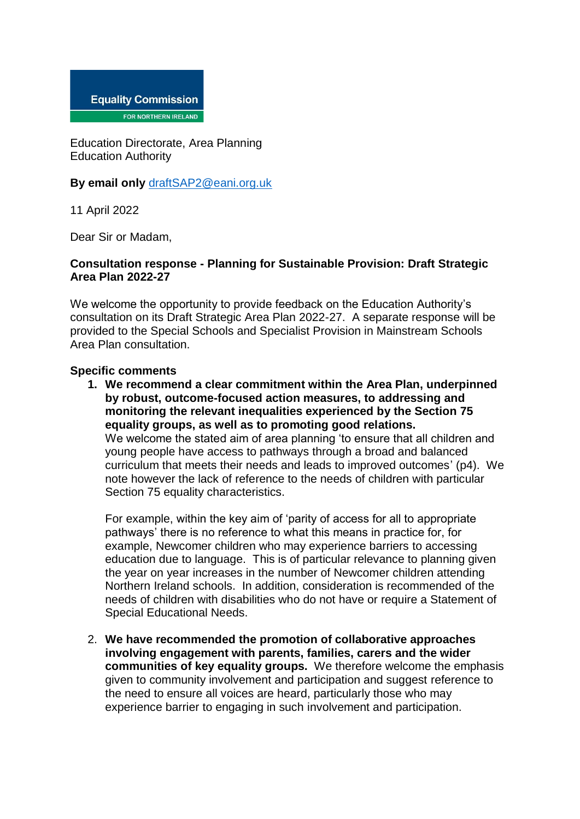

Education Directorate, Area Planning Education Authority

**By email only** [draftSAP2@eani.org.uk](mailto:draftSAP2@eani.org.uk)

11 April 2022

Dear Sir or Madam,

## **Consultation response - Planning for Sustainable Provision: Draft Strategic Area Plan 2022-27**

We welcome the opportunity to provide feedback on the Education Authority's consultation on its Draft Strategic Area Plan 2022-27. A separate response will be provided to the Special Schools and Specialist Provision in Mainstream Schools Area Plan consultation.

## **Specific comments**

**1. We recommend a clear commitment within the Area Plan, underpinned by robust, outcome-focused action measures, to addressing and monitoring the relevant inequalities experienced by the Section 75 equality groups, as well as to promoting good relations.**  We welcome the stated aim of area planning 'to ensure that all children and young people have access to pathways through a broad and balanced curriculum that meets their needs and leads to improved outcomes' (p4). We note however the lack of reference to the needs of children with particular Section 75 equality characteristics.

For example, within the key aim of 'parity of access for all to appropriate pathways' there is no reference to what this means in practice for, for example, Newcomer children who may experience barriers to accessing education due to language. This is of particular relevance to planning given the year on year increases in the number of Newcomer children attending Northern Ireland schools. In addition, consideration is recommended of the needs of children with disabilities who do not have or require a Statement of Special Educational Needs.

2. **We have recommended the promotion of collaborative approaches involving engagement with parents, families, carers and the wider communities of key equality groups.** We therefore welcome the emphasis given to community involvement and participation and suggest reference to the need to ensure all voices are heard, particularly those who may experience barrier to engaging in such involvement and participation.